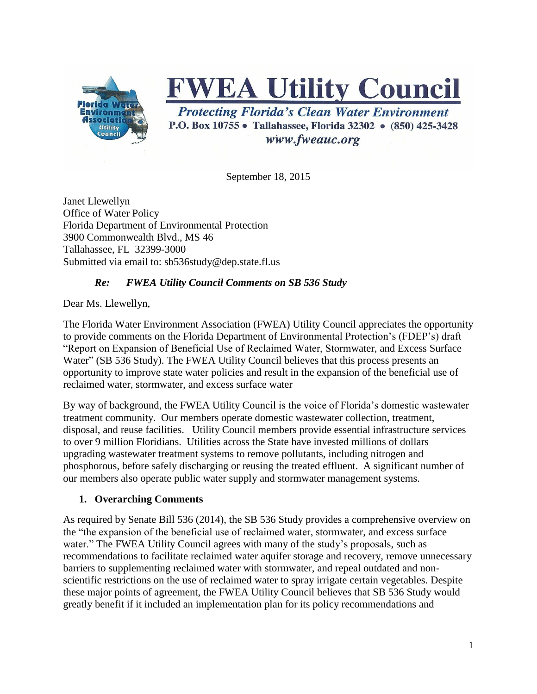

# **FWEA Utility Council**

**Protecting Florida's Clean Water Environment** P.O. Box 10755 • Tallahassee, Florida 32302 • (850) 425-3428 www.fweauc.org

September 18, 2015

Janet Llewellyn Office of Water Policy Florida Department of Environmental Protection 3900 Commonwealth Blvd., MS 46 Tallahassee, FL 32399-3000 Submitted via email to: sb536study@dep.state.fl.us

#### *Re: FWEA Utility Council Comments on SB 536 Study*

Dear Ms. Llewellyn,

The Florida Water Environment Association (FWEA) Utility Council appreciates the opportunity to provide comments on the Florida Department of Environmental Protection's (FDEP's) draft "Report on Expansion of Beneficial Use of Reclaimed Water, Stormwater, and Excess Surface Water" (SB 536 Study). The FWEA Utility Council believes that this process presents an opportunity to improve state water policies and result in the expansion of the beneficial use of reclaimed water, stormwater, and excess surface water

By way of background, the FWEA Utility Council is the voice of Florida's domestic wastewater treatment community. Our members operate domestic wastewater collection, treatment, disposal, and reuse facilities. Utility Council members provide essential infrastructure services to over 9 million Floridians. Utilities across the State have invested millions of dollars upgrading wastewater treatment systems to remove pollutants, including nitrogen and phosphorous, before safely discharging or reusing the treated effluent. A significant number of our members also operate public water supply and stormwater management systems.

#### **1. Overarching Comments**

As required by Senate Bill 536 (2014), the SB 536 Study provides a comprehensive overview on the "the expansion of the beneficial use of reclaimed water, stormwater, and excess surface water." The FWEA Utility Council agrees with many of the study's proposals, such as recommendations to facilitate reclaimed water aquifer storage and recovery, remove unnecessary barriers to supplementing reclaimed water with stormwater, and repeal outdated and nonscientific restrictions on the use of reclaimed water to spray irrigate certain vegetables. Despite these major points of agreement, the FWEA Utility Council believes that SB 536 Study would greatly benefit if it included an implementation plan for its policy recommendations and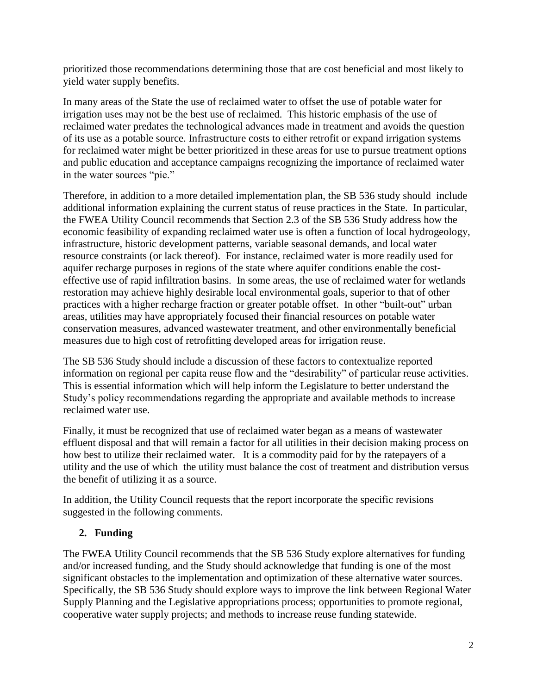prioritized those recommendations determining those that are cost beneficial and most likely to yield water supply benefits.

In many areas of the State the use of reclaimed water to offset the use of potable water for irrigation uses may not be the best use of reclaimed. This historic emphasis of the use of reclaimed water predates the technological advances made in treatment and avoids the question of its use as a potable source. Infrastructure costs to either retrofit or expand irrigation systems for reclaimed water might be better prioritized in these areas for use to pursue treatment options and public education and acceptance campaigns recognizing the importance of reclaimed water in the water sources "pie."

Therefore, in addition to a more detailed implementation plan, the SB 536 study should include additional information explaining the current status of reuse practices in the State. In particular, the FWEA Utility Council recommends that Section 2.3 of the SB 536 Study address how the economic feasibility of expanding reclaimed water use is often a function of local hydrogeology, infrastructure, historic development patterns, variable seasonal demands, and local water resource constraints (or lack thereof). For instance, reclaimed water is more readily used for aquifer recharge purposes in regions of the state where aquifer conditions enable the costeffective use of rapid infiltration basins. In some areas, the use of reclaimed water for wetlands restoration may achieve highly desirable local environmental goals, superior to that of other practices with a higher recharge fraction or greater potable offset. In other "built-out" urban areas, utilities may have appropriately focused their financial resources on potable water conservation measures, advanced wastewater treatment, and other environmentally beneficial measures due to high cost of retrofitting developed areas for irrigation reuse.

The SB 536 Study should include a discussion of these factors to contextualize reported information on regional per capita reuse flow and the "desirability" of particular reuse activities. This is essential information which will help inform the Legislature to better understand the Study's policy recommendations regarding the appropriate and available methods to increase reclaimed water use.

Finally, it must be recognized that use of reclaimed water began as a means of wastewater effluent disposal and that will remain a factor for all utilities in their decision making process on how best to utilize their reclaimed water. It is a commodity paid for by the ratepayers of a utility and the use of which the utility must balance the cost of treatment and distribution versus the benefit of utilizing it as a source.

In addition, the Utility Council requests that the report incorporate the specific revisions suggested in the following comments.

## **2. Funding**

The FWEA Utility Council recommends that the SB 536 Study explore alternatives for funding and/or increased funding, and the Study should acknowledge that funding is one of the most significant obstacles to the implementation and optimization of these alternative water sources. Specifically, the SB 536 Study should explore ways to improve the link between Regional Water Supply Planning and the Legislative appropriations process; opportunities to promote regional, cooperative water supply projects; and methods to increase reuse funding statewide.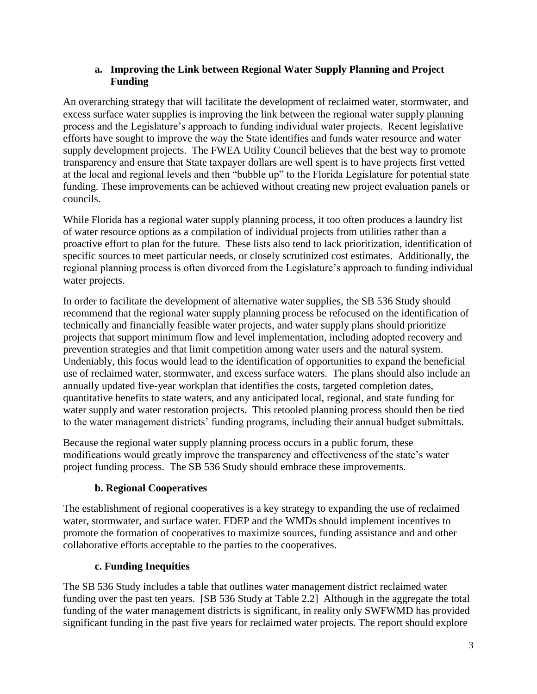#### **a. Improving the Link between Regional Water Supply Planning and Project Funding**

An overarching strategy that will facilitate the development of reclaimed water, stormwater, and excess surface water supplies is improving the link between the regional water supply planning process and the Legislature's approach to funding individual water projects. Recent legislative efforts have sought to improve the way the State identifies and funds water resource and water supply development projects. The FWEA Utility Council believes that the best way to promote transparency and ensure that State taxpayer dollars are well spent is to have projects first vetted at the local and regional levels and then "bubble up" to the Florida Legislature for potential state funding. These improvements can be achieved without creating new project evaluation panels or councils.

While Florida has a regional water supply planning process, it too often produces a laundry list of water resource options as a compilation of individual projects from utilities rather than a proactive effort to plan for the future. These lists also tend to lack prioritization, identification of specific sources to meet particular needs, or closely scrutinized cost estimates. Additionally, the regional planning process is often divorced from the Legislature's approach to funding individual water projects.

In order to facilitate the development of alternative water supplies, the SB 536 Study should recommend that the regional water supply planning process be refocused on the identification of technically and financially feasible water projects, and water supply plans should prioritize projects that support minimum flow and level implementation, including adopted recovery and prevention strategies and that limit competition among water users and the natural system. Undeniably, this focus would lead to the identification of opportunities to expand the beneficial use of reclaimed water, stormwater, and excess surface waters. The plans should also include an annually updated five-year workplan that identifies the costs, targeted completion dates, quantitative benefits to state waters, and any anticipated local, regional, and state funding for water supply and water restoration projects. This retooled planning process should then be tied to the water management districts' funding programs, including their annual budget submittals.

Because the regional water supply planning process occurs in a public forum, these modifications would greatly improve the transparency and effectiveness of the state's water project funding process. The SB 536 Study should embrace these improvements.

#### **b. Regional Cooperatives**

The establishment of regional cooperatives is a key strategy to expanding the use of reclaimed water, stormwater, and surface water. FDEP and the WMDs should implement incentives to promote the formation of cooperatives to maximize sources, funding assistance and and other collaborative efforts acceptable to the parties to the cooperatives.

#### **c. Funding Inequities**

The SB 536 Study includes a table that outlines water management district reclaimed water funding over the past ten years. [SB 536 Study at Table 2.2] Although in the aggregate the total funding of the water management districts is significant, in reality only SWFWMD has provided significant funding in the past five years for reclaimed water projects. The report should explore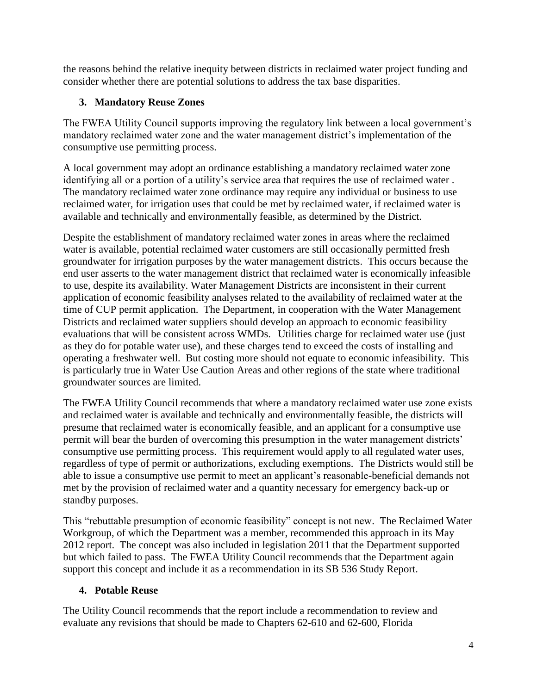the reasons behind the relative inequity between districts in reclaimed water project funding and consider whether there are potential solutions to address the tax base disparities.

## **3. Mandatory Reuse Zones**

The FWEA Utility Council supports improving the regulatory link between a local government's mandatory reclaimed water zone and the water management district's implementation of the consumptive use permitting process.

A local government may adopt an ordinance establishing a mandatory reclaimed water zone identifying all or a portion of a utility's service area that requires the use of reclaimed water . The mandatory reclaimed water zone ordinance may require any individual or business to use reclaimed water, for irrigation uses that could be met by reclaimed water, if reclaimed water is available and technically and environmentally feasible, as determined by the District.

Despite the establishment of mandatory reclaimed water zones in areas where the reclaimed water is available, potential reclaimed water customers are still occasionally permitted fresh groundwater for irrigation purposes by the water management districts. This occurs because the end user asserts to the water management district that reclaimed water is economically infeasible to use, despite its availability. Water Management Districts are inconsistent in their current application of economic feasibility analyses related to the availability of reclaimed water at the time of CUP permit application. The Department, in cooperation with the Water Management Districts and reclaimed water suppliers should develop an approach to economic feasibility evaluations that will be consistent across WMDs. Utilities charge for reclaimed water use (just as they do for potable water use), and these charges tend to exceed the costs of installing and operating a freshwater well. But costing more should not equate to economic infeasibility. This is particularly true in Water Use Caution Areas and other regions of the state where traditional groundwater sources are limited.

The FWEA Utility Council recommends that where a mandatory reclaimed water use zone exists and reclaimed water is available and technically and environmentally feasible, the districts will presume that reclaimed water is economically feasible, and an applicant for a consumptive use permit will bear the burden of overcoming this presumption in the water management districts' consumptive use permitting process. This requirement would apply to all regulated water uses, regardless of type of permit or authorizations, excluding exemptions. The Districts would still be able to issue a consumptive use permit to meet an applicant's reasonable-beneficial demands not met by the provision of reclaimed water and a quantity necessary for emergency back-up or standby purposes.

This "rebuttable presumption of economic feasibility" concept is not new. The Reclaimed Water Workgroup, of which the Department was a member, recommended this approach in its May 2012 report. The concept was also included in legislation 2011 that the Department supported but which failed to pass. The FWEA Utility Council recommends that the Department again support this concept and include it as a recommendation in its SB 536 Study Report.

## **4. Potable Reuse**

The Utility Council recommends that the report include a recommendation to review and evaluate any revisions that should be made to Chapters 62-610 and 62-600, Florida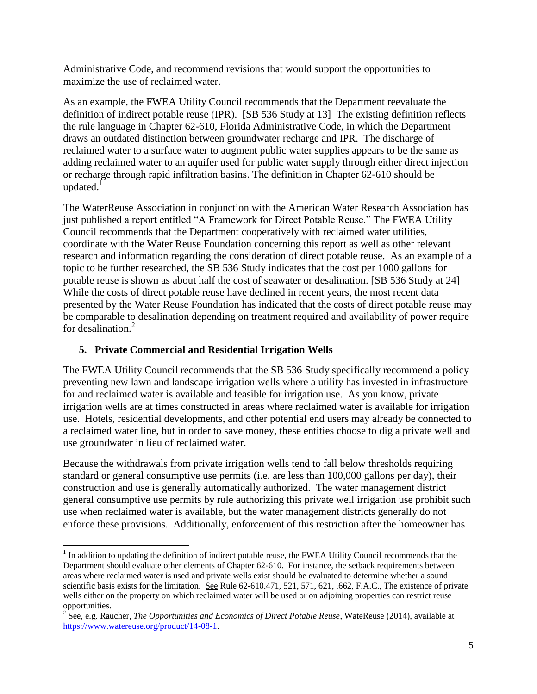Administrative Code, and recommend revisions that would support the opportunities to maximize the use of reclaimed water.

As an example, the FWEA Utility Council recommends that the Department reevaluate the definition of indirect potable reuse (IPR). [SB 536 Study at 13] The existing definition reflects the rule language in Chapter 62-610, Florida Administrative Code, in which the Department draws an outdated distinction between groundwater recharge and IPR. The discharge of reclaimed water to a surface water to augment public water supplies appears to be the same as adding reclaimed water to an aquifer used for public water supply through either direct injection or recharge through rapid infiltration basins. The definition in Chapter 62-610 should be updated. $1$ 

The WaterReuse Association in conjunction with the American Water Research Association has just published a report entitled "A Framework for Direct Potable Reuse." The FWEA Utility Council recommends that the Department cooperatively with reclaimed water utilities, coordinate with the Water Reuse Foundation concerning this report as well as other relevant research and information regarding the consideration of direct potable reuse. As an example of a topic to be further researched, the SB 536 Study indicates that the cost per 1000 gallons for potable reuse is shown as about half the cost of seawater or desalination. [SB 536 Study at 24] While the costs of direct potable reuse have declined in recent years, the most recent data presented by the Water Reuse Foundation has indicated that the costs of direct potable reuse may be comparable to desalination depending on treatment required and availability of power require for desalination. 2

## **5. Private Commercial and Residential Irrigation Wells**

 $\overline{a}$ 

The FWEA Utility Council recommends that the SB 536 Study specifically recommend a policy preventing new lawn and landscape irrigation wells where a utility has invested in infrastructure for and reclaimed water is available and feasible for irrigation use. As you know, private irrigation wells are at times constructed in areas where reclaimed water is available for irrigation use. Hotels, residential developments, and other potential end users may already be connected to a reclaimed water line, but in order to save money, these entities choose to dig a private well and use groundwater in lieu of reclaimed water.

Because the withdrawals from private irrigation wells tend to fall below thresholds requiring standard or general consumptive use permits (i.e. are less than 100,000 gallons per day), their construction and use is generally automatically authorized. The water management district general consumptive use permits by rule authorizing this private well irrigation use prohibit such use when reclaimed water is available, but the water management districts generally do not enforce these provisions. Additionally, enforcement of this restriction after the homeowner has

<sup>&</sup>lt;sup>1</sup> In addition to updating the definition of indirect potable reuse, the FWEA Utility Council recommends that the Department should evaluate other elements of Chapter 62-610. For instance, the setback requirements between areas where reclaimed water is used and private wells exist should be evaluated to determine whether a sound scientific basis exists for the limitation. See Rule 62-610.471, 521, 571, 621, .662, F.A.C., The existence of private wells either on the property on which reclaimed water will be used or on adjoining properties can restrict reuse

opportunities. 2 See, e.g. Raucher, *The Opportunities and Economics of Direct Potable Reuse*, WateReuse (2014), available at [https://www.watereuse.org/product/14-08-1.](https://www.watereuse.org/product/14-08-1)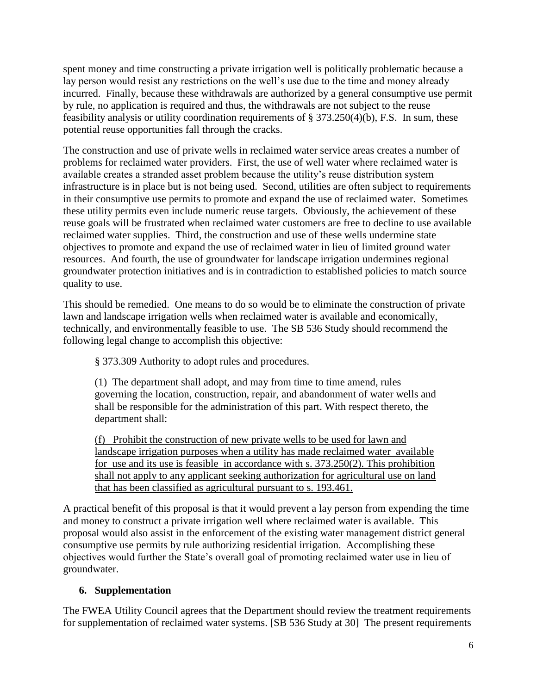spent money and time constructing a private irrigation well is politically problematic because a lay person would resist any restrictions on the well's use due to the time and money already incurred. Finally, because these withdrawals are authorized by a general consumptive use permit by rule, no application is required and thus, the withdrawals are not subject to the reuse feasibility analysis or utility coordination requirements of § 373.250(4)(b), F.S. In sum, these potential reuse opportunities fall through the cracks.

The construction and use of private wells in reclaimed water service areas creates a number of problems for reclaimed water providers. First, the use of well water where reclaimed water is available creates a stranded asset problem because the utility's reuse distribution system infrastructure is in place but is not being used. Second, utilities are often subject to requirements in their consumptive use permits to promote and expand the use of reclaimed water. Sometimes these utility permits even include numeric reuse targets. Obviously, the achievement of these reuse goals will be frustrated when reclaimed water customers are free to decline to use available reclaimed water supplies. Third, the construction and use of these wells undermine state objectives to promote and expand the use of reclaimed water in lieu of limited ground water resources. And fourth, the use of groundwater for landscape irrigation undermines regional groundwater protection initiatives and is in contradiction to established policies to match source quality to use.

This should be remedied. One means to do so would be to eliminate the construction of private lawn and landscape irrigation wells when reclaimed water is available and economically, technically, and environmentally feasible to use. The SB 536 Study should recommend the following legal change to accomplish this objective:

§ 373.309 Authority to adopt rules and procedures.—

(1) The department shall adopt, and may from time to time amend, rules governing the location, construction, repair, and abandonment of water wells and shall be responsible for the administration of this part. With respect thereto, the department shall:

(f) Prohibit the construction of new private wells to be used for lawn and landscape irrigation purposes when a utility has made reclaimed water available for use and its use is feasible in accordance with s. 373.250(2). This prohibition shall not apply to any applicant seeking authorization for agricultural use on land that has been classified as agricultural pursuant to s. 193.461.

A practical benefit of this proposal is that it would prevent a lay person from expending the time and money to construct a private irrigation well where reclaimed water is available. This proposal would also assist in the enforcement of the existing water management district general consumptive use permits by rule authorizing residential irrigation. Accomplishing these objectives would further the State's overall goal of promoting reclaimed water use in lieu of groundwater.

## **6. Supplementation**

The FWEA Utility Council agrees that the Department should review the treatment requirements for supplementation of reclaimed water systems. [SB 536 Study at 30] The present requirements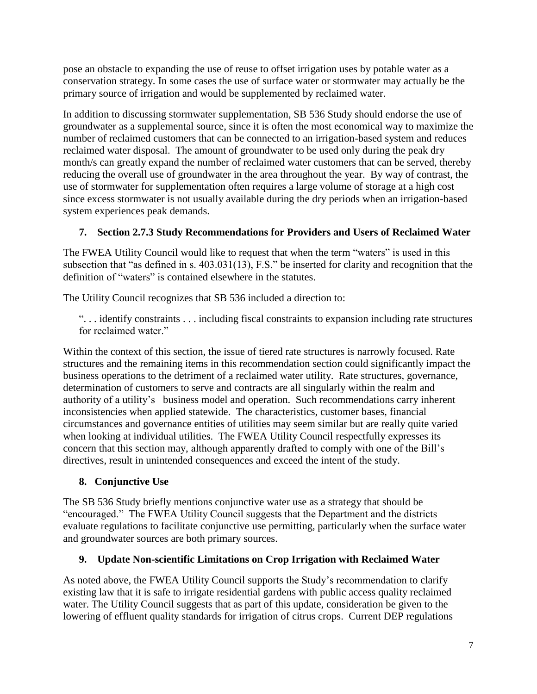pose an obstacle to expanding the use of reuse to offset irrigation uses by potable water as a conservation strategy. In some cases the use of surface water or stormwater may actually be the primary source of irrigation and would be supplemented by reclaimed water.

In addition to discussing stormwater supplementation, SB 536 Study should endorse the use of groundwater as a supplemental source, since it is often the most economical way to maximize the number of reclaimed customers that can be connected to an irrigation-based system and reduces reclaimed water disposal. The amount of groundwater to be used only during the peak dry month/s can greatly expand the number of reclaimed water customers that can be served, thereby reducing the overall use of groundwater in the area throughout the year. By way of contrast, the use of stormwater for supplementation often requires a large volume of storage at a high cost since excess stormwater is not usually available during the dry periods when an irrigation-based system experiences peak demands.

## **7. Section 2.7.3 Study Recommendations for Providers and Users of Reclaimed Water**

The FWEA Utility Council would like to request that when the term "waters" is used in this subsection that "as defined in s. 403.031(13), F.S." be inserted for clarity and recognition that the definition of "waters" is contained elsewhere in the statutes.

The Utility Council recognizes that SB 536 included a direction to:

". . . identify constraints . . . including fiscal constraints to expansion including rate structures for reclaimed water."

Within the context of this section, the issue of tiered rate structures is narrowly focused. Rate structures and the remaining items in this recommendation section could significantly impact the business operations to the detriment of a reclaimed water utility. Rate structures, governance, determination of customers to serve and contracts are all singularly within the realm and authority of a utility's business model and operation. Such recommendations carry inherent inconsistencies when applied statewide. The characteristics, customer bases, financial circumstances and governance entities of utilities may seem similar but are really quite varied when looking at individual utilities. The FWEA Utility Council respectfully expresses its concern that this section may, although apparently drafted to comply with one of the Bill's directives, result in unintended consequences and exceed the intent of the study.

## **8. Conjunctive Use**

The SB 536 Study briefly mentions conjunctive water use as a strategy that should be "encouraged." The FWEA Utility Council suggests that the Department and the districts evaluate regulations to facilitate conjunctive use permitting, particularly when the surface water and groundwater sources are both primary sources.

## **9. Update Non-scientific Limitations on Crop Irrigation with Reclaimed Water**

As noted above, the FWEA Utility Council supports the Study's recommendation to clarify existing law that it is safe to irrigate residential gardens with public access quality reclaimed water. The Utility Council suggests that as part of this update, consideration be given to the lowering of effluent quality standards for irrigation of citrus crops. Current DEP regulations